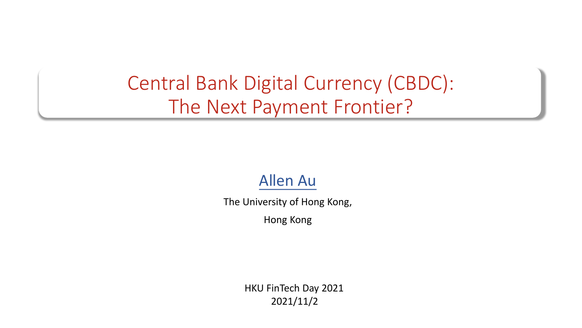### Central Bank Digital Currency (CBDC): The Next Payment Frontier?

#### Allen Au

The University of Hong Kong,

Hong Kong

HKU FinTech Day 2021 2021/11/2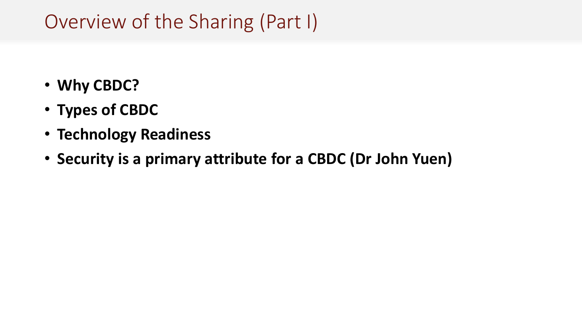### Overview of the Sharing (Part I)

- **Why CBDC?**
- **Types of CBDC**
- **Technology Readiness**
- **Security is a primary attribute for a CBDC (Dr John Yuen)**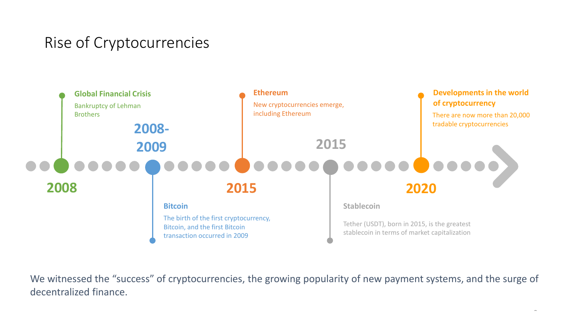### Rise of Cryptocurrencies



We witnessed the "success" of cryptocurrencies, the growing popularity of new payment systems, and the surge of decentralized finance.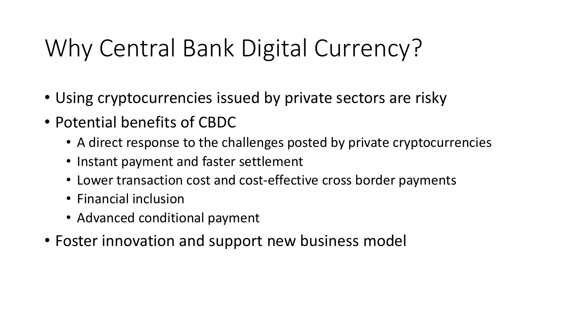# Why Central Bank Digital Currency?

- Using cryptocurrencies issued by private sectors are risky
- Potential benefits of CBDC
	- A direct response to the challenges posted by private cryptocurrencies
	- Instant payment and faster settlement
	- Lower transaction cost and cost-effective cross border payments
	- Financial inclusion
	- Advanced conditional payment
- Foster innovation and support new business model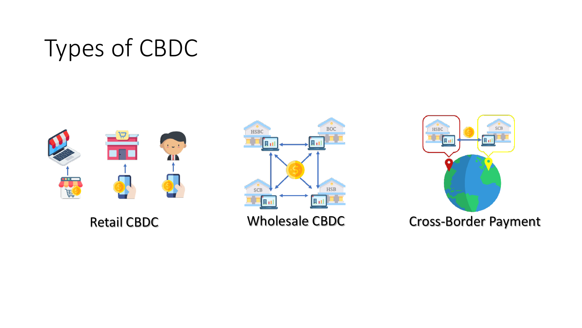# Types of CBDC







Retail CBDC **Wholesale CBDC** Cross-Border Payment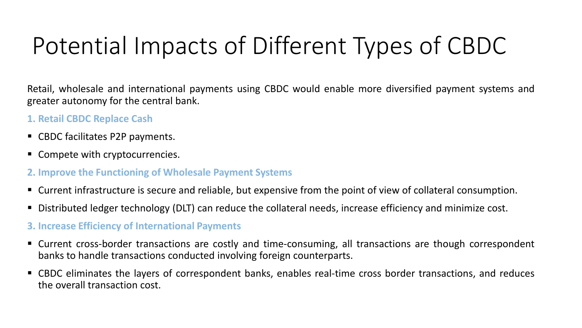# Potential Impacts of Different Types of CBDC

Retail, wholesale and international payments using CBDC would enable more diversified payment systems and greater autonomy for the central bank.

#### **1. Retail CBDC Replace Cash**

- CBDC facilitates P2P payments.
- Compete with cryptocurrencies.
- **2. Improve the Functioning of Wholesale Payment Systems**
- Current infrastructure is secure and reliable, but expensive from the point of view of collateral consumption.
- Distributed ledger technology (DLT) can reduce the collateral needs, increase efficiency and minimize cost.
- **3. Increase Efficiency of International Payments**
- Current cross-border transactions are costly and time-consuming, all transactions are though correspondent banks to handle transactions conducted involving foreign counterparts.
- CBDC eliminates the layers of correspondent banks, enables real-time cross border transactions, and reduces the overall transaction cost.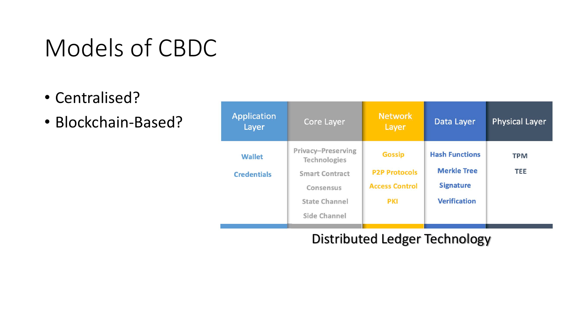## Models of CBDC

- Centralised?
- Blockchain-Based?

| <b>Application</b><br>Layer         | <b>Core Layer</b>                                                                                                                     | <b>Network</b><br>Layer                                                      | Data Layer                                                                             | <b>Physical Layer</b>    |
|-------------------------------------|---------------------------------------------------------------------------------------------------------------------------------------|------------------------------------------------------------------------------|----------------------------------------------------------------------------------------|--------------------------|
| <b>Wallet</b><br><b>Credentials</b> | <b>Privacy-Preserving</b><br><b>Technologies</b><br><b>Smart Contract</b><br><b>Consensus</b><br><b>State Channel</b><br>Side Channel | <b>Gossip</b><br><b>P2P Protocols</b><br><b>Access Control</b><br><b>PKI</b> | <b>Hash Functions</b><br><b>Merkle Tree</b><br><b>Signature</b><br><b>Verification</b> | <b>TPM</b><br><b>TEE</b> |

#### Distributed Ledger Technology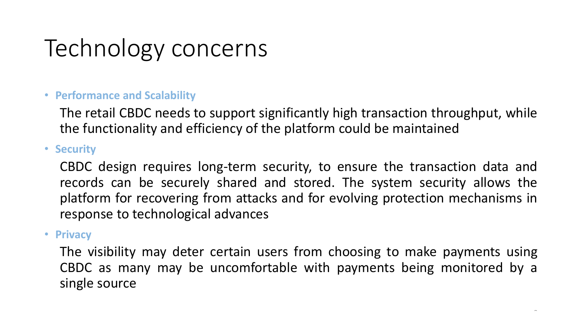# Technology concerns

#### • **Performance and Scalability**

The retail CBDC needs to support significantly high transaction throughput, while the functionality and efficiency of the platform could be maintained

#### • **Security**

CBDC design requires long-term security, to ensure the transaction data and records can be securely shared and stored. The system security allows the platform for recovering from attacks and for evolving protection mechanisms in response to technological advances

#### • **Privacy**

The visibility may deter certain users from choosing to make payments using CBDC as many may be uncomfortable with payments being monitored by a single source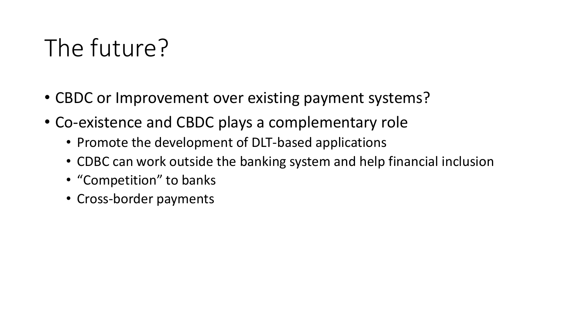## The future?

- CBDC or Improvement over existing payment systems?
- Co-existence and CBDC plays a complementary role
	- Promote the development of DLT-based applications
	- CDBC can work outside the banking system and help financial inclusion
	- "Competition" to banks
	- Cross-border payments